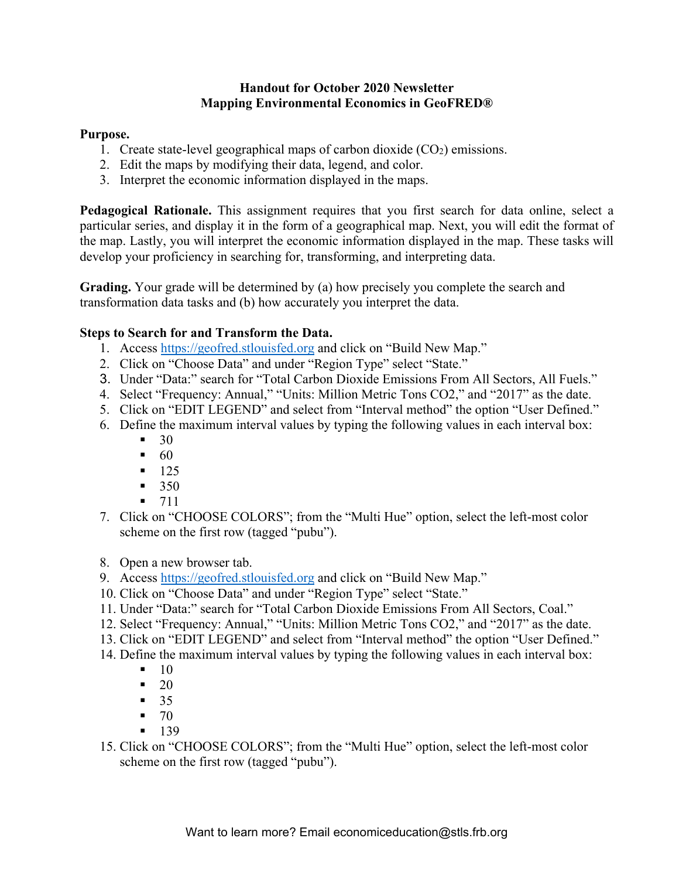## **Handout for October 2020 Newsletter Mapping Environmental Economics in GeoFRED®**

## **Purpose.**

- 1. Create state-level geographical maps of carbon dioxide  $(CO<sub>2</sub>)$  emissions.
- 2. Edit the maps by modifying their data, legend, and color.
- 3. Interpret the economic information displayed in the maps.

**Pedagogical Rationale.** This assignment requires that you first search for data online, select a particular series, and display it in the form of a geographical map. Next, you will edit the format of the map. Lastly, you will interpret the economic information displayed in the map. These tasks will develop your proficiency in searching for, transforming, and interpreting data.

**Grading.** Your grade will be determined by (a) how precisely you complete the search and transformation data tasks and (b) how accurately you interpret the data.

## **Steps to Search for and Transform the Data.**

- 1. Access https://geofred.stlouisfed.org and click on "Build New Map."
- 2. Click on "Choose Data" and under "Region Type" select "State."
- 3. Under "Data:" search for "Total Carbon Dioxide Emissions From All Sectors, All Fuels."
- 4. Select "Frequency: Annual," "Units: Million Metric Tons CO2," and "2017" as the date.
- 5. Click on "EDIT LEGEND" and select from "Interval method" the option "User Defined."
- 6. Define the maximum interval values by typing the following values in each interval box:
	- $-30$
	- $-60$
	- $-125$
	- $-350$
	- $-711$
- 7. Click on "CHOOSE COLORS"; from the "Multi Hue" option, select the left-most color scheme on the first row (tagged "pubu").
- 8. Open a new browser tab.
- 9. Access https://geofred.stlouisfed.org and click on "Build New Map."
- 10. Click on "Choose Data" and under "Region Type" select "State."
- 11. Under "Data:" search for "Total Carbon Dioxide Emissions From All Sectors, Coal."
- 12. Select "Frequency: Annual," "Units: Million Metric Tons CO2," and "2017" as the date.
- 13. Click on "EDIT LEGEND" and select from "Interval method" the option "User Defined."
- 14. Define the maximum interval values by typing the following values in each interval box:
	- $-10$
	- $-20$
	- $-35$
	- $-70$
	- $-139$
- 15. Click on "CHOOSE COLORS"; from the "Multi Hue" option, select the left-most color scheme on the first row (tagged "pubu").